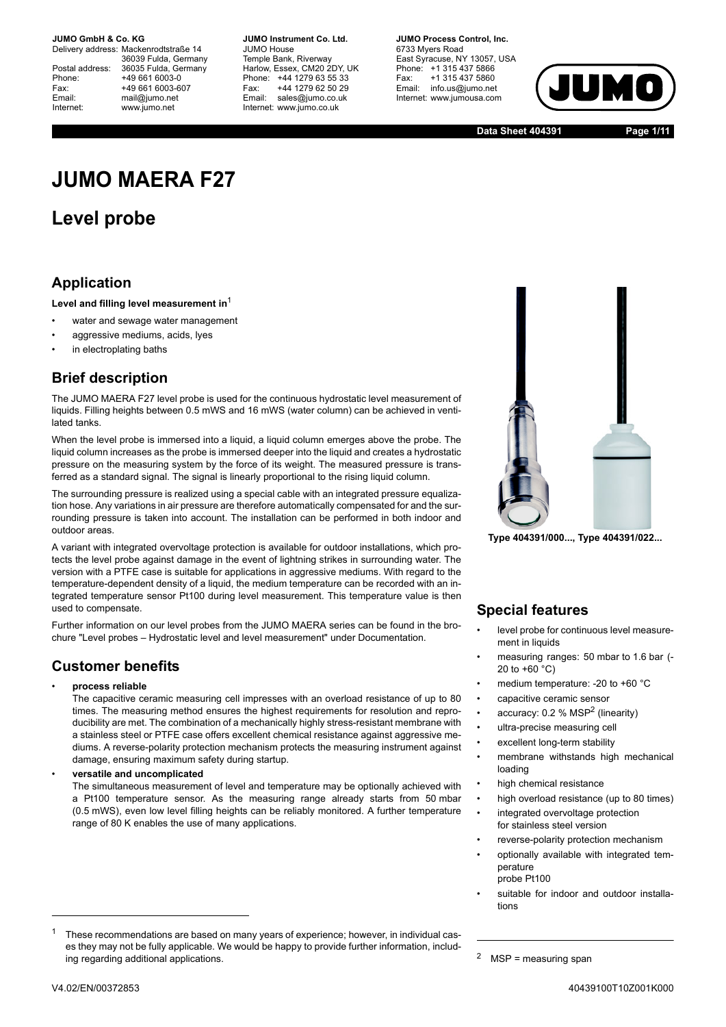Delivery address: Mackenrodtstraße 14 36039 Fulda, Germany Postal address: 36035 Fulda, Germany<br>Phone: +49 661 6003-0 Phone: +49 661 6003-0<br>Fax: +49 661 6003-6 Fax: +49 661 6003-607<br>
Fmail: mail@iumo.net mail@iumo.net Internet: www.jumo.net

**-BUMO Instrument Co. Ltd.** JUMO House Temple Bank, Riverway Harlow, Essex, CM20 2DY, UK<br>Phone: +44 1279 63 55 33 Phone: +44 1279 63 55 33<br>Fax: +44 1279 62 50 29 Fax: +44 1279 62 50 29<br>Email: sales@iumo.co.uk sales@iumo.co.uk Internet: www.jumo.co.uk

**-BIMO Process Control Inc.** 6733 Mvers Road East Syracuse, NY 13057, USA Phone: +1 315 437 5866<br>Fax: +1 315 437 5860 Fax: +1 315 437 5860<br>Email: info.us@jumo.net info.us@jumo.net Internet: www.jumousa.com



**Data Sheet 404391 Page 1/11**

# **JUMO MAERA F27**

# **Level probe**

## **Application**

**Level and filling level measurement in**<sup>1</sup>

- water and sewage water management
- aggressive mediums, acids, lyes
- in electroplating baths

## **Brief description**

The JUMO MAERA F27 level probe is used for the continuous hydrostatic level measurement of liquids. Filling heights between 0.5 mWS and 16 mWS (water column) can be achieved in ventilated tanks.

When the level probe is immersed into a liquid, a liquid column emerges above the probe. The liquid column increases as the probe is immersed deeper into the liquid and creates a hydrostatic pressure on the measuring system by the force of its weight. The measured pressure is transferred as a standard signal. The signal is linearly proportional to the rising liquid column.

The surrounding pressure is realized using a special cable with an integrated pressure equalization hose. Any variations in air pressure are therefore automatically compensated for and the surrounding pressure is taken into account. The installation can be performed in both indoor and outdoor areas.

A variant with integrated overvoltage protection is available for outdoor installations, which protects the level probe against damage in the event of lightning strikes in surrounding water. The version with a PTFE case is suitable for applications in aggressive mediums. With regard to the temperature-dependent density of a liquid, the medium temperature can be recorded with an integrated temperature sensor Pt100 during level measurement. This temperature value is then used to compensate.

Further information on our level probes from the JUMO MAERA series can be found in the brochure "Level probes – Hydrostatic level and level measurement" under Documentation.

## **Customer benefits**

#### • **process reliable**

The capacitive ceramic measuring cell impresses with an overload resistance of up to 80 times. The measuring method ensures the highest requirements for resolution and reproducibility are met. The combination of a mechanically highly stress-resistant membrane with a stainless steel or PTFE case offers excellent chemical resistance against aggressive mediums. A reverse-polarity protection mechanism protects the measuring instrument against damage, ensuring maximum safety during startup.

• **versatile and uncomplicated**

The simultaneous measurement of level and temperature may be optionally achieved with a Pt100 temperature sensor. As the measuring range already starts from 50 mbar (0.5 mWS), even low level filling heights can be reliably monitored. A further temperature range of 80 K enables the use of many applications.



**Type 404391/000..., Type 404391/022...**

## **Special features**

- level probe for continuous level measurement in liquids
- measuring ranges: 50 mbar to 1.6 bar (- 20 to  $+60 °C$ )
- medium temperature: -20 to +60 °C
- capacitive ceramic sensor
- accuracy:  $0.2$  % MSP<sup>2</sup> (linearity)
- ultra-precise measuring cell
- excellent long-term stability
- membrane withstands high mechanical loading
- high chemical resistance
- high overload resistance (up to 80 times)
- integrated overvoltage protection for stainless steel version
- reverse-polarity protection mechanism
- optionally available with integrated temperature probe Pt100
- suitable for indoor and outdoor installations

 $1$  These recommendations are based on many years of experience; however, in individual cases they may not be fully applicable. We would be happy to provide further information, including regarding additional applications.

<sup>&</sup>lt;sup>2</sup> MSP = measuring span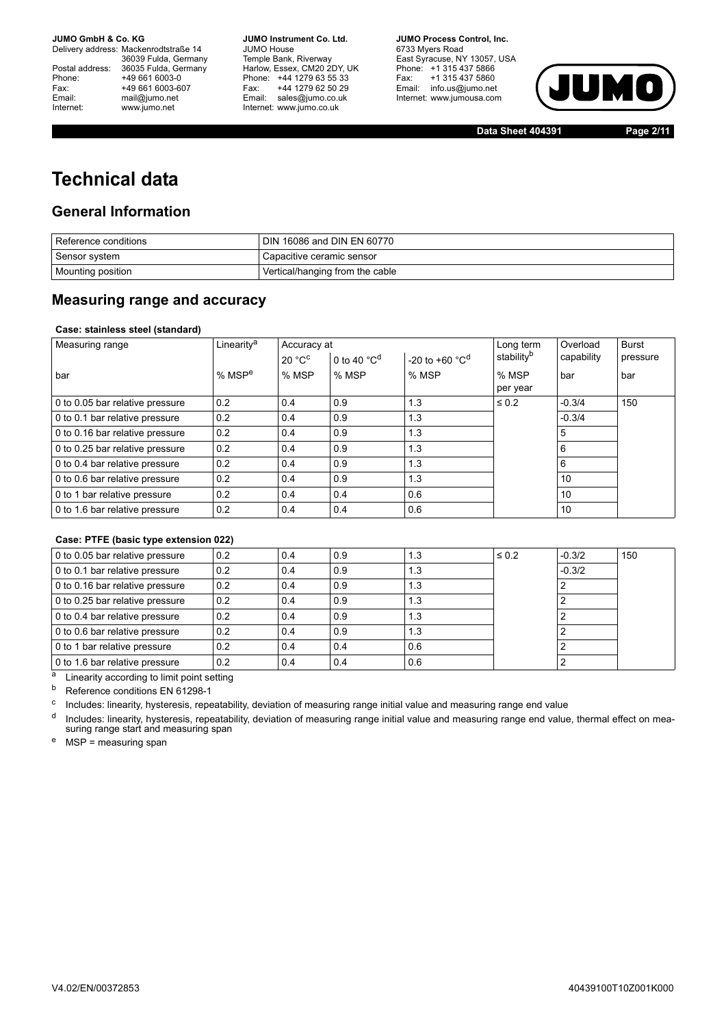Delivery address: Mackenrodtstraße 14 36039 Fulda, Germany Postal address: 36035 Fulda, Germany<br>Phone: +49 661 6003-0 Phone: +49 661 6003-0<br>
Fax: +49 661 6003-6<br>
Email: mail@iumo.net +49 661 6003-607 mail@jumo.net Internet: www.jumo.net

**JUMO Instrument Co. Ltd.** JUMO House Temple Bank, Riverway<br>Harlow, Essex, CM20 2DY, UK Phone: +44 1279 63 55 33<br>Fax: +44 1279 62 50 29 +44 1279 62 50 29 Email: sales@jumo.co.uk Internet: www.jumo.co.uk

**JUMO Process Control, Inc.** 6733 Myers Road East Syracuse, NY 13057, USA Phone: +1 315 437 5866<br>Fax: +1 315 437 5860 Email: info.us@jumo.net Internet: www.jumousa.com



**Data Sheet 404391 Page 2/11**

# **Technical data**

### **General Information**

| Reference conditions | DIN 16086 and DIN EN 60770      |
|----------------------|---------------------------------|
| Sensor system        | , Capacitive ceramic sensor     |
| Mounting position    | Vertical/hanging from the cable |

### **Measuring range and accuracy**

### **Case: stainless steel (standard)**

| Measuring range                 | Linearity <sup>a</sup> | Accuracy at |                                   |                                      | Long term              | Overload   | <b>Burst</b> |
|---------------------------------|------------------------|-------------|-----------------------------------|--------------------------------------|------------------------|------------|--------------|
|                                 |                        | 20 °C       | 0 to 40 $^{\circ}$ C <sup>d</sup> | -20 to +60 $^{\circ}$ C <sup>d</sup> | stability <sup>b</sup> | capability | pressure     |
| . bar                           | % $MSPe$               | % MSP       | % MSP                             | % MSP                                | % MSP                  | bar        | bar          |
|                                 |                        |             |                                   |                                      | per year               |            |              |
| 0 to 0.05 bar relative pressure | 0.2                    | 0.4         | 0.9                               | 1.3                                  | $\leq 0.2$             | $-0.3/4$   | 150          |
| 0 to 0.1 bar relative pressure  | 0.2                    | 0.4         | 0.9                               | 1.3                                  |                        | $-0.3/4$   |              |
| 0 to 0.16 bar relative pressure | 0.2                    | 0.4         | 0.9                               | 1.3                                  |                        | 5          |              |
| 0 to 0.25 bar relative pressure | 0.2                    | 0.4         | 0.9                               | 1.3                                  |                        |            |              |
| 0 to 0.4 bar relative pressure  | 0.2                    | 0.4         | 0.9                               | 1.3                                  |                        | 6          |              |
| 0 to 0.6 bar relative pressure  | 0.2                    | 0.4         | 0.9                               | 1.3                                  |                        | 10         |              |
| 0 to 1 bar relative pressure    | 0.2                    | 0.4         | 0.4                               | 0.6                                  |                        | 10         |              |
| 0 to 1.6 bar relative pressure  | 0.2                    | 0.4         | 0.4                               | 0.6                                  |                        | 10         |              |

### **Case: PTFE (basic type extension 022)**

| 0 to 0.05 bar relative pressure | 0.2 | 0.4 | 0.9 | 1.3 | $\leq 0.2$ | $-0.3/2$ | 150 |
|---------------------------------|-----|-----|-----|-----|------------|----------|-----|
| 0 to 0.1 bar relative pressure  | 0.2 | 0.4 | 0.9 | 1.3 |            | $-0.3/2$ |     |
| 0 to 0.16 bar relative pressure | 0.2 | 0.4 | 0.9 | 1.3 |            |          |     |
| 0 to 0.25 bar relative pressure | 0.2 | 0.4 | 0.9 | 1.3 |            |          |     |
| 0 to 0.4 bar relative pressure  | 0.2 | 0.4 | 0.9 | 1.3 |            |          |     |
| 0 to 0.6 bar relative pressure  | 0.2 | 0.4 | 0.9 | 1.3 |            |          |     |
| 0 to 1 bar relative pressure    | 0.2 | 0.4 | 0.4 | 0.6 |            |          |     |
| 0 to 1.6 bar relative pressure  | 0.2 | 0.4 | 0.4 | 0.6 |            |          |     |

a Linearity according to limit point setting

 $\overline{b}$  Reference conditions EN 61298-1

<sup>c</sup> Includes: linearity, hysteresis, repeatability, deviation of measuring range initial value and measuring range end value

<sup>d</sup> Includes: linearity, hysteresis, repeatability, deviation of measuring range initial value and measuring range end value, thermal effect on measuring range start and measuring span

 $e$  MSP = measuring span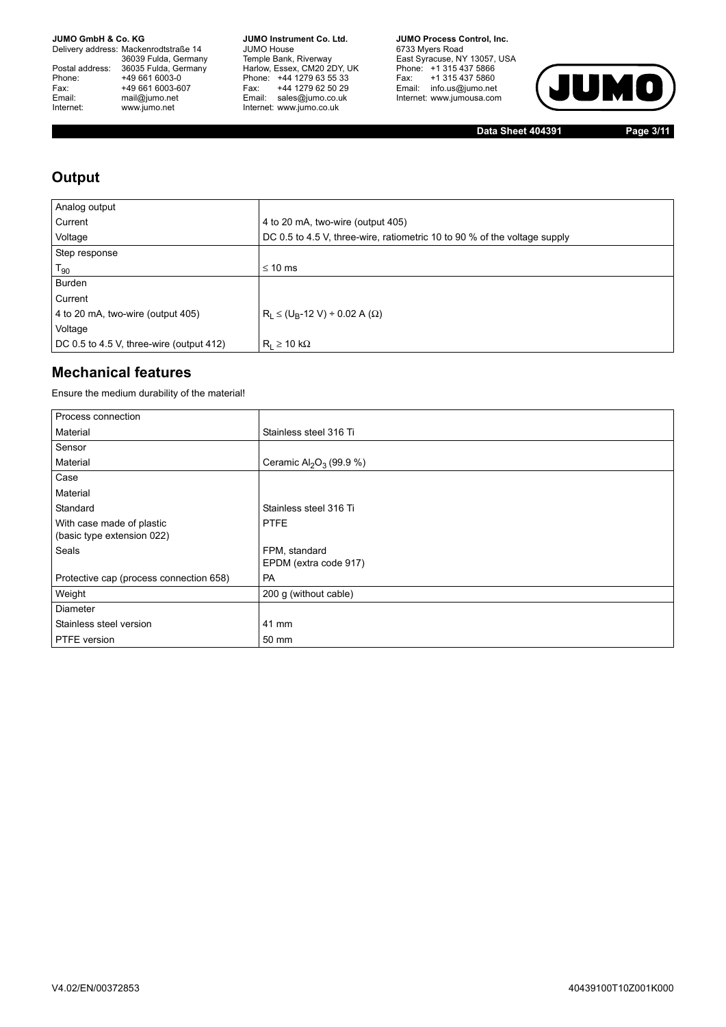Delivery address: Mackenrodtstraße 14 36039 Fulda, Germany<br>Postal address: 36035 Fulda, Germany Phone: +49 661 6003-0<br>
Fax: +49 661 6003-6<br>
Email: mail@jumo.net +49 661 6003-607 Email: mail@jumo.net<br>Internet: www.iumo.net www.jumo.net

**JUMO Instrument Co. Ltd.** JUMO House Temple Bank, Riverway<br>Harlow, Essex, CM20 2DY, UK<br>Phone: +44 1279 63 55 33 Fax: +44 1279 62 50 29<br>Email: sales@jumo.co.uk Internet: www.jumo.co.uk

**JUMO Process Control. Inc.** 6733 Myers Road East Syracuse, NY 13057, USA<br>Phone: +1 315 437 5866<br>Fax: +1 315 437 5860 Email: info.us@jumo.net Internet: www.jumousa.com



**Data Sheet 404391 Page 3/11**

## **Output**

| Analog output                            |                                                                           |
|------------------------------------------|---------------------------------------------------------------------------|
| Current                                  | 4 to 20 mA, two-wire (output 405)                                         |
| Voltage                                  | DC 0.5 to 4.5 V, three-wire, ratiometric 10 to 90 % of the voltage supply |
| Step response                            |                                                                           |
| $T_{90}$                                 | $\leq 10$ ms                                                              |
| <b>Burden</b>                            |                                                                           |
| Current                                  |                                                                           |
| 4 to 20 mA, two-wire (output 405)        | $R_1 \leq (U_R - 12 V) \div 0.02 A (\Omega)$                              |
| Voltage                                  |                                                                           |
| DC 0.5 to 4.5 V, three-wire (output 412) | $R_1 \geq 10 k\Omega$                                                     |

## **Mechanical features**

Ensure the medium durability of the material!

| Process connection                                      |                                                 |
|---------------------------------------------------------|-------------------------------------------------|
| Material                                                | Stainless steel 316 Ti                          |
| Sensor                                                  |                                                 |
| Material                                                | Ceramic Al <sub>2</sub> O <sub>3</sub> (99.9 %) |
| Case                                                    |                                                 |
| Material                                                |                                                 |
| Standard                                                | Stainless steel 316 Ti                          |
| With case made of plastic<br>(basic type extension 022) | <b>PTFE</b>                                     |
| Seals                                                   | FPM, standard<br>EPDM (extra code 917)          |
| Protective cap (process connection 658)                 | <b>PA</b>                                       |
| Weight                                                  | 200 g (without cable)                           |
| Diameter                                                |                                                 |
| Stainless steel version                                 | 41 mm                                           |
| PTFE version                                            | 50 mm                                           |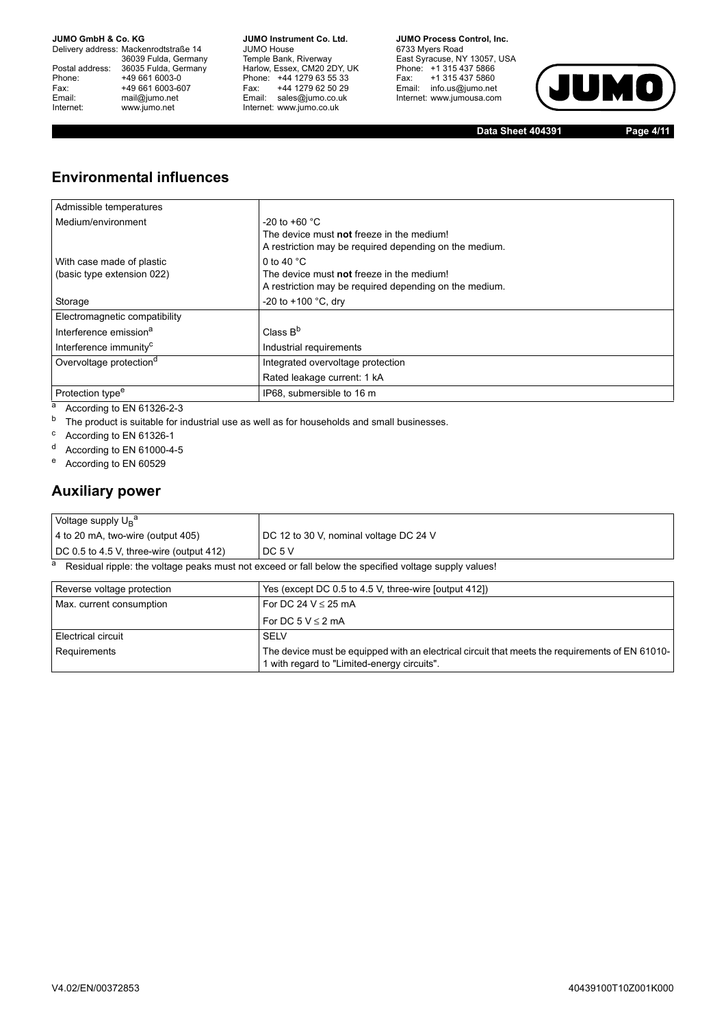Delivery address: Mackenrodtstraße 14 36039 Fulda, Germany<br>Postal address: 36035 Fulda, Germany Phone: +49 661 6003-0<br>
Fax: +49 661 6003-6<br>
Email: mail@jumo.net +49 661 6003-607 Email: mail@jumo.net<br>Internet: www.iumo.net www.jumo.net

**JUMO Instrument Co. Ltd.** JUMO House Temple Bank, Riverway<br>Harlow, Essex, CM20 2DY, UK Phone: +44 1279 63 55 33<br>Fax: +44 1279 62 50 29 +44 1279 62 50 29 Email: sales@jumo.co.uk Internet: www.jumo.co.uk

**JUMO Process Control, Inc.** 6733 Myers Road East Syracuse, NY 13057, USA<br>Phone: +1 315 437 5866<br>Fax: +1 315 437 5860 Fax: +1 315 437 5860<br>Email: info.us@jumo.net Internet: www.jumousa.com



**Data Sheet 404391 Page 4/11**

## **Environmental influences**

| Admissible temperatures                                 |                                                                                                                             |
|---------------------------------------------------------|-----------------------------------------------------------------------------------------------------------------------------|
| Medium/environment                                      | $-20$ to $+60$ °C.<br>The device must not freeze in the medium!<br>A restriction may be required depending on the medium.   |
| With case made of plastic<br>(basic type extension 022) | 0 to 40 $^{\circ}$ C<br>The device must not freeze in the medium!<br>A restriction may be required depending on the medium. |
| Storage                                                 | -20 to $+100$ °C, dry                                                                                                       |
| Electromagnetic compatibility                           |                                                                                                                             |
| Interference emission <sup>a</sup>                      | Class $B^b$                                                                                                                 |
| Interference immunity <sup>c</sup>                      | Industrial requirements                                                                                                     |
| Overvoltage protection <sup>d</sup>                     | Integrated overvoltage protection                                                                                           |
|                                                         | Rated leakage current: 1 kA                                                                                                 |
| Protection type <sup>e</sup>                            | IP68, submersible to 16 m                                                                                                   |

a According to EN 61326-2-3

b The product is suitable for industrial use as well as for households and small businesses.

<sup>c</sup> According to EN 61326-1

<sup>d</sup> According to EN 61000-4-5

<sup>e</sup> According to EN 60529

### **Auxiliary power**

| Voltage supply $U_B^a$                           |                                        |
|--------------------------------------------------|----------------------------------------|
| $\vert$ 4 to 20 mA, two-wire (output 405)        | DC 12 to 30 V, nominal voltage DC 24 V |
| $\vert$ DC 0.5 to 4.5 V, three-wire (output 412) | DC 5 V                                 |
|                                                  |                                        |

a Residual ripple: the voltage peaks must not exceed or fall below the specified voltage supply values!

| Reverse voltage protection | Yes (except DC 0.5 to 4.5 V, three-wire [output 412])                                                                                          |
|----------------------------|------------------------------------------------------------------------------------------------------------------------------------------------|
| Max. current consumption   | For DC 24 $V \le 25$ mA                                                                                                                        |
|                            | For DC 5 $V \le 2$ mA                                                                                                                          |
| Electrical circuit         | <b>SELV</b>                                                                                                                                    |
| Requirements               | The device must be equipped with an electrical circuit that meets the requirements of EN 61010-<br>1 with regard to "Limited-energy circuits". |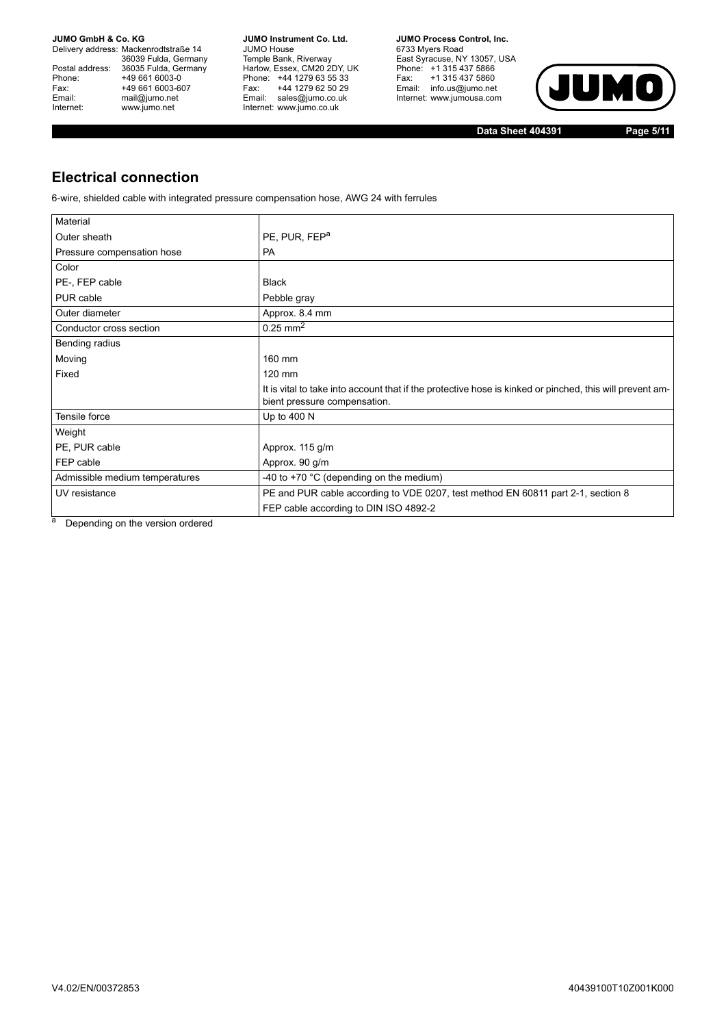Delivery address: Mackenrodtstraße 14 36039 Fulda, Germany<br>Postal address: 36035 Fulda, Germany Phone: +49 661 6003-0<br>
Fax: +49 661 6003-6<br>
Email: mail@jumo.net +49 661 6003-607 Email: mail@jumo.net<br>Internet: www.iumo.net www.jumo.net

**JUMO Instrument Co. Ltd.** JUMO House Temple Bank, Riverway<br>Harlow, Essex, CM20 2DY, UK Phone: +44 1279 63 55 33<br>Fax: +44 1279 62 50 29 +44 1279 62 50 29 Email: sales@jumo.co.uk Internet: www.jumo.co.uk

**JUMO Process Control, Inc.** 6733 Myers Road East Syracuse, NY 13057, USA<br>Phone: +1 315 437 5866<br>Fax: +1 315 437 5860 Email: info.us@jumo.net Internet: www.jumousa.com



**Data Sheet 404391 Page 5/11**

## **Electrical connection**

6-wire, shielded cable with integrated pressure compensation hose, AWG 24 with ferrules

| Material                       |                                                                                                                                          |
|--------------------------------|------------------------------------------------------------------------------------------------------------------------------------------|
| Outer sheath                   | PE, PUR, FEP <sup>a</sup>                                                                                                                |
| Pressure compensation hose     | <b>PA</b>                                                                                                                                |
| Color                          |                                                                                                                                          |
| PE-, FEP cable                 | <b>Black</b>                                                                                                                             |
| PUR cable                      | Pebble gray                                                                                                                              |
| Outer diameter                 | Approx. 8.4 mm                                                                                                                           |
| Conductor cross section        | $0.25 \text{ mm}^2$                                                                                                                      |
| Bending radius                 |                                                                                                                                          |
| Moving                         | 160 mm                                                                                                                                   |
| Fixed                          | 120 mm                                                                                                                                   |
|                                | It is vital to take into account that if the protective hose is kinked or pinched, this will prevent am-<br>bient pressure compensation. |
| Tensile force                  | Up to 400 N                                                                                                                              |
| Weight                         |                                                                                                                                          |
| PE, PUR cable                  | Approx. 115 g/m                                                                                                                          |
| FEP cable                      | Approx. 90 g/m                                                                                                                           |
| Admissible medium temperatures | -40 to +70 $^{\circ}$ C (depending on the medium)                                                                                        |
| UV resistance                  | PE and PUR cable according to VDE 0207, test method EN 60811 part 2-1, section 8                                                         |
|                                | FEP cable according to DIN ISO 4892-2                                                                                                    |

a Depending on the version ordered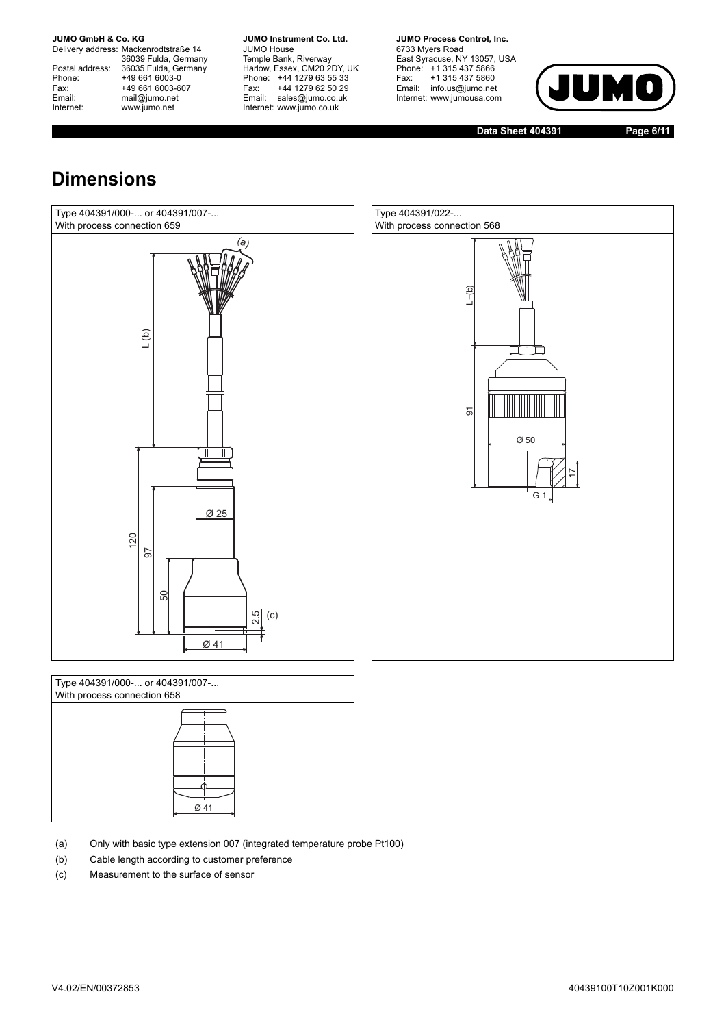Delivery address: Mackenrodtstraße 14 36039 Fulda, Germany<br>Postal address: 36035 Fulda, Germany Phone: +49 661 6003-0<br>
Fax: +49 661 6003-6<br>
Email: mail@jumo.net +49 661 6003-607 mail@jumo.net Internet: www.jumo.net

**JUMO Instrument Co. Ltd.** JUMO House Temple Bank, Riverway<br>Harlow, Essex, CM20 2DY, UK Phone: +44 1279 63 55 33<br>Fax: +44 1279 62 50 29 +44 1279 62 50 29 Email: sales@jumo.co.uk Internet: www.jumo.co.uk

**JUMO Process Control. Inc.** 6733 Myers Road East Syracuse, NY 13057, USA<br>Phone: +1 315 437 5866<br>Fax: +1 315 437 5860 Email: info.us@jumo.net Internet: www.jumousa.com



**Data Sheet 404391 Page 6/11**

# **Dimensions**







- (a) Only with basic type extension 007 (integrated temperature probe Pt100)
- (b) Cable length according to customer preference
-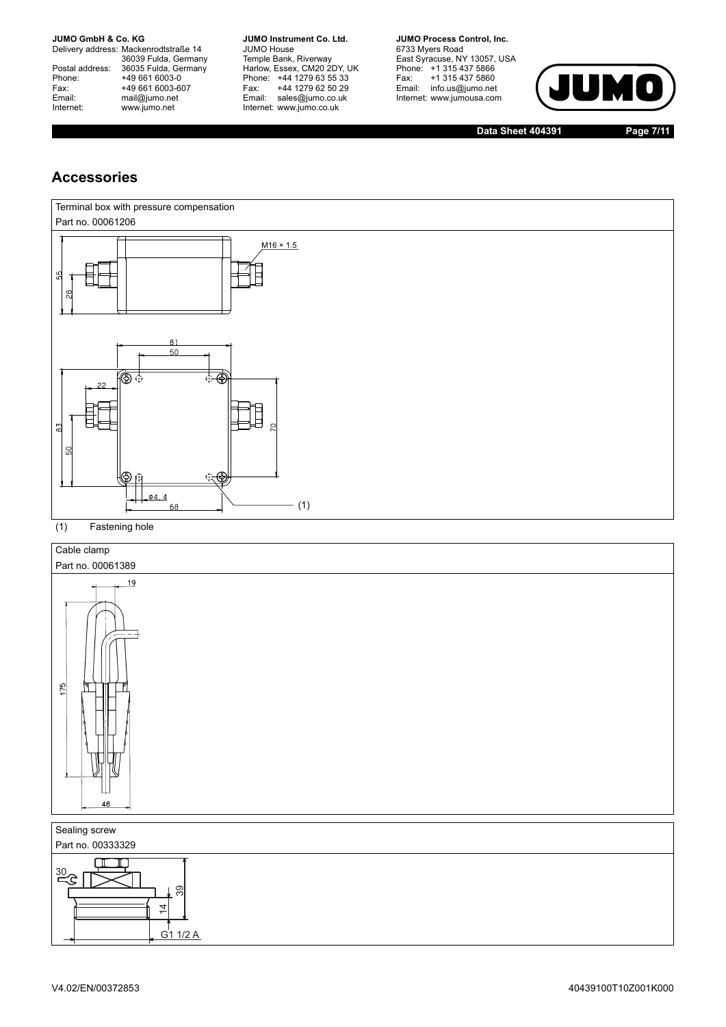Delivery address: Mackenrodtstraße 14 36039 Fulda, Germany<br>Postal address: 36035 Fulda, Germany Phone: +49 661 6003-0<br>
Fax: +49 661 6003-6<br>
Email: mail@jumo.net +49 661 6003-607 Email: mail@jumo.net<br>Internet: www.iumo.net www.jumo.net

**JUMO Instrument Co. Ltd.** JUMO House Temple Bank, Riverway<br>Harlow, Essex, CM20 2DY, UK Phone: +44 1279 63 55 33<br>Fax: +44 1279 62 50 29 +44 1279 62 50 29 Email: sales@jumo.co.uk Internet: www.jumo.co.uk

**JUMO Process Control. Inc.** 6733 Myers Road East Syracuse, NY 13057, USA<br>Phone: +1 315 437 5866<br>Fax: +1 315 437 5860 Email: info.us@jumo.net Internet: www.jumousa.com



**Data Sheet 404391 Page 7/11**

### **Accessories**





G1 1/2 A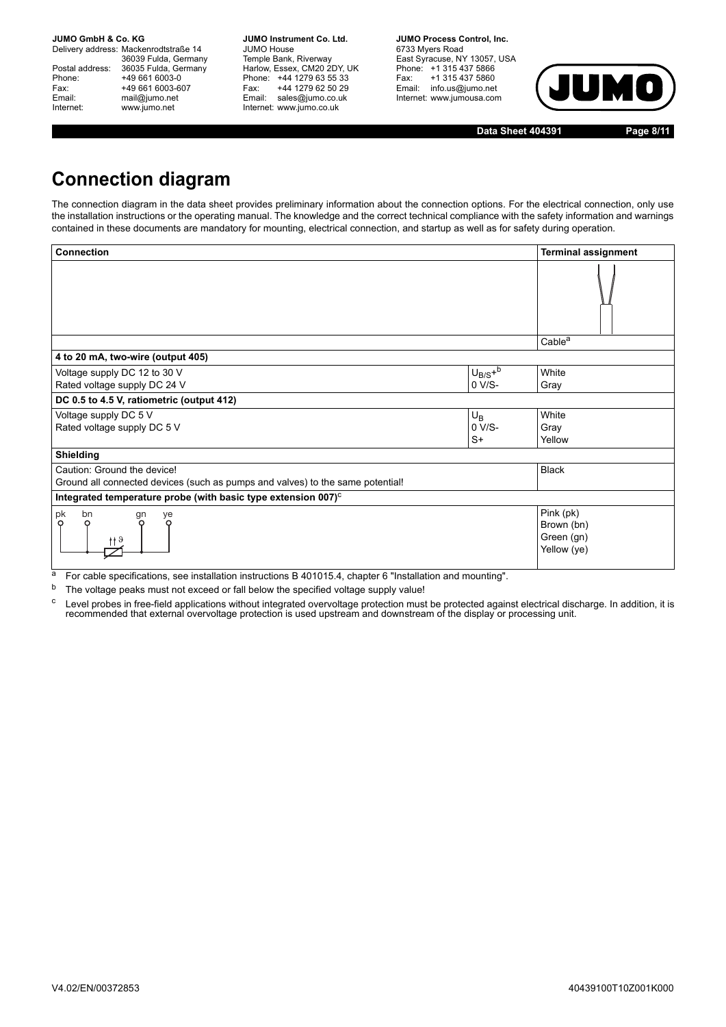Delivery address: Mackenrodtstraße 14 36039 Fulda, Germany Postal address: 36035 Fulda, Germany<br>Phone: +49 661 6003-0 Phone: +49 661 6003-0<br>Fax: +49 661 6003-6 Fax: +49 661 6003-607<br>
Email: mail@jumo.net mail@jumo.net Internet: www.jumo.net

**JUMO Instrument Co. Ltd.** JUMO House Temple Bank, Riverway<br>Harlow, Essex, CM20 2DY, UK Phone: +44 1279 63 55 33<br>Fax: +44 1279 62 50 29 +44 1279 62 50 29 Email: sales@jumo.co.uk Internet: www.jumo.co.uk

**JUMO Process Control, Inc.** 6733 Myers Road East Syracuse, NY 13057, USA Phone: +1 315 437 5866<br>Fax: +1 315 437 5860 Email: info.us@jumo.net Internet: www.jumousa.com



**Data Sheet 404391 Page 8/11**

# **Connection diagram**

The connection diagram in the data sheet provides preliminary information about the connection options. For the electrical connection, only use the installation instructions or the operating manual. The knowledge and the correct technical compliance with the safety information and warnings contained in these documents are mandatory for mounting, electrical connection, and startup as well as for safety during operation.

| <b>Connection</b>                                                              |             | <b>Terminal assignment</b>                           |  |  |  |
|--------------------------------------------------------------------------------|-------------|------------------------------------------------------|--|--|--|
|                                                                                |             |                                                      |  |  |  |
|                                                                                |             | Cable <sup>a</sup>                                   |  |  |  |
| 4 to 20 mA, two-wire (output 405)                                              |             |                                                      |  |  |  |
| Voltage supply DC 12 to 30 V                                                   | $U_{B/S}+b$ | White                                                |  |  |  |
| Rated voltage supply DC 24 V                                                   | 0 V/S-      | Gray                                                 |  |  |  |
| DC 0.5 to 4.5 V, ratiometric (output 412)                                      |             |                                                      |  |  |  |
| Voltage supply DC 5 V                                                          | $U_{\rm B}$ | White                                                |  |  |  |
| Rated voltage supply DC 5 V                                                    | $0 V/S-$    | Gray                                                 |  |  |  |
|                                                                                | $S+$        | Yellow                                               |  |  |  |
| Shielding                                                                      |             |                                                      |  |  |  |
| Caution: Ground the device!                                                    |             | <b>Black</b>                                         |  |  |  |
| Ground all connected devices (such as pumps and valves) to the same potential! |             |                                                      |  |  |  |
| Integrated temperature probe (with basic type extension 007) <sup>c</sup>      |             |                                                      |  |  |  |
| pk<br>bn<br>ye<br>gn<br>$\circ$<br>O<br>റ                                      |             | Pink (pk)<br>Brown (bn)<br>Green (gn)<br>Yellow (ye) |  |  |  |

<sup>a</sup> For cable specifications, see installation instructions B 401015.4, chapter 6 "Installation and mounting".

<sup>b</sup> The voltage peaks must not exceed or fall below the specified voltage supply value!

<sup>c</sup> Level probes in free-field applications without integrated overvoltage protection must be protected against electrical discharge. In addition, it is<br>recommended that external overvoltage protection is used upstream and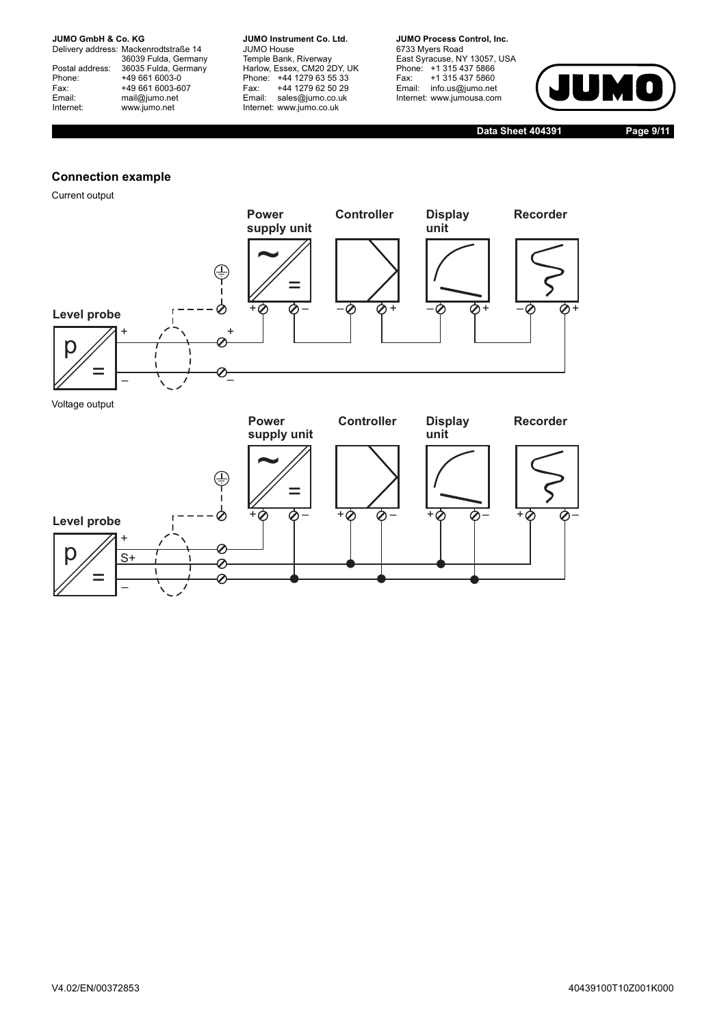Delivery address: Mackenrodtstraße 14 36039 Fulda, Germany<br>Postal address: 36035 Fulda, Germany Phone: +49 661 6003-0<br>
Fax: +49 661 6003-6<br>
Email: mail@jumo.net +49 661 6003-607 Email: mail@jumo.net<br>Internet: www.iumo.net www.jumo.net

**JUMO Instrument Co. Ltd.** JUMO House Temple Bank, Riverway<br>Harlow, Essex, CM20 2DY, UK Phone: +44 1279 63 55 33<br>Fax: +44 1279 62 50 29 +44 1279 62 50 29 Email: sales@jumo.co.uk Internet: www.jumo.co.uk

**JUMO Process Control. Inc.** 6733 Myers Road East Syracuse, NY 13057, USA<br>Phone: +1 315 437 5866<br>Fax: +1 315 437 5860 Email: info.us@jumo.net Internet: www.jumousa.com



**Data Sheet 404391 Page 9/11**

### **Connection example**

Current output



=

 $\rho$ 

+

S+

 $\overline{\mathcal{O}}$ ⊘ 0

–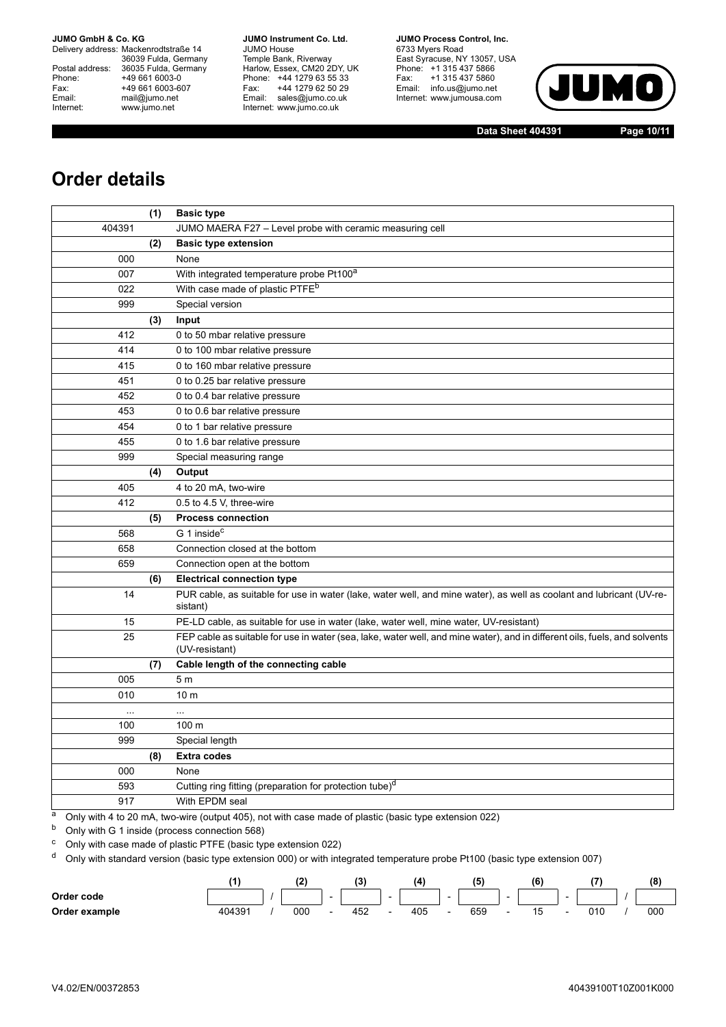Delivery address: Mackenrodtstraße 14 36039 Fulda, Germany<br>Postal address: 36035 Fulda, Germany Phone: +49 661 6003-0<br>
Fax: +49 661 6003-6<br>
Email: mail@jumo.net +49 661 6003-607 mail@jumo.net Internet: www.jumo.net

**JUMO Instrument Co. Ltd.** JUMO House Temple Bank, Riverway<br>Harlow, Essex, CM20 2DY, UK Phone: +44 1279 63 55 33<br>Fax: +44 1279 62 50 29 +44 1279 62 50 29 Email: sales@jumo.co.uk Internet: www.jumo.co.uk

**JUMO Process Control, Inc.** 6733 Myers Road East Syracuse, NY 13057, USA<br>Phone: +1 315 437 5866<br>Fax: +1 315 437 5860 Email: info.us@jumo.net Internet: www.jumousa.com



**Data Sheet 404391 Page 10/11**

# **Order details**

|           | (1) | <b>Basic type</b>                                                                                                                            |
|-----------|-----|----------------------------------------------------------------------------------------------------------------------------------------------|
| 404391    |     | JUMO MAERA F27 - Level probe with ceramic measuring cell                                                                                     |
|           | (2) | <b>Basic type extension</b>                                                                                                                  |
| 000       |     | None                                                                                                                                         |
| 007       |     | With integrated temperature probe Pt100a                                                                                                     |
| 022       |     | With case made of plastic PTFE <sup>b</sup>                                                                                                  |
| 999       |     | Special version                                                                                                                              |
|           | (3) | Input                                                                                                                                        |
| 412       |     | 0 to 50 mbar relative pressure                                                                                                               |
| 414       |     | 0 to 100 mbar relative pressure                                                                                                              |
| 415       |     | 0 to 160 mbar relative pressure                                                                                                              |
| 451       |     | 0 to 0.25 bar relative pressure                                                                                                              |
| 452       |     | 0 to 0.4 bar relative pressure                                                                                                               |
| 453       |     | 0 to 0.6 bar relative pressure                                                                                                               |
| 454       |     | 0 to 1 bar relative pressure                                                                                                                 |
| 455       |     | 0 to 1.6 bar relative pressure                                                                                                               |
| 999       |     | Special measuring range                                                                                                                      |
|           | (4) | Output                                                                                                                                       |
| 405       |     | 4 to 20 mA, two-wire                                                                                                                         |
| 412       |     | 0.5 to 4.5 V, three-wire                                                                                                                     |
|           | (5) | <b>Process connection</b>                                                                                                                    |
| 568       |     | G 1 inside <sup>c</sup>                                                                                                                      |
| 658       |     | Connection closed at the bottom                                                                                                              |
| 659       |     | Connection open at the bottom                                                                                                                |
|           | (6) | <b>Electrical connection type</b>                                                                                                            |
| 14        |     | PUR cable, as suitable for use in water (lake, water well, and mine water), as well as coolant and lubricant (UV-re-<br>sistant)             |
| 15        |     | PE-LD cable, as suitable for use in water (lake, water well, mine water, UV-resistant)                                                       |
| 25        |     | FEP cable as suitable for use in water (sea, lake, water well, and mine water), and in different oils, fuels, and solvents<br>(UV-resistant) |
|           | (7) | Cable length of the connecting cable                                                                                                         |
| 005       |     | 5 m                                                                                                                                          |
| 010       |     | 10 <sub>m</sub>                                                                                                                              |
| $\ddotsc$ |     | $\ddotsc$                                                                                                                                    |
| 100       |     | 100 <sub>m</sub>                                                                                                                             |
| 999       |     | Special length                                                                                                                               |
|           | (8) | <b>Extra codes</b>                                                                                                                           |
| 000       |     | None                                                                                                                                         |
| 593       |     | Cutting ring fitting (preparation for protection tube) <sup>d</sup>                                                                          |
| 917       |     | With EPDM seal                                                                                                                               |

<sup>a</sup> Only with 4 to 20 mA, two-wire (output 405), not with case made of plastic (basic type extension 022)

<sup>b</sup> Only with G 1 inside (process connection 568)

<sup>c</sup> Only with case made of plastic PTFE (basic type extension 022)

<sup>d</sup> Only with standard version (basic type extension 000) or with integrated temperature probe Pt100 (basic type extension 007)

|               |        |     |        | 12<br>$\cdot$ |                          | ıΔ  |                          |     |                          | (6) |                          |     | (8) |
|---------------|--------|-----|--------|---------------|--------------------------|-----|--------------------------|-----|--------------------------|-----|--------------------------|-----|-----|
| Order code    |        |     | $\sim$ |               | $\overline{\phantom{a}}$ |     | $\overline{\phantom{a}}$ |     | $\overline{\phantom{0}}$ |     | $\overline{\phantom{0}}$ |     |     |
| Order example | 404391 | 000 |        | 452           |                          | 405 |                          | 659 |                          | . 5 |                          | 010 | 000 |